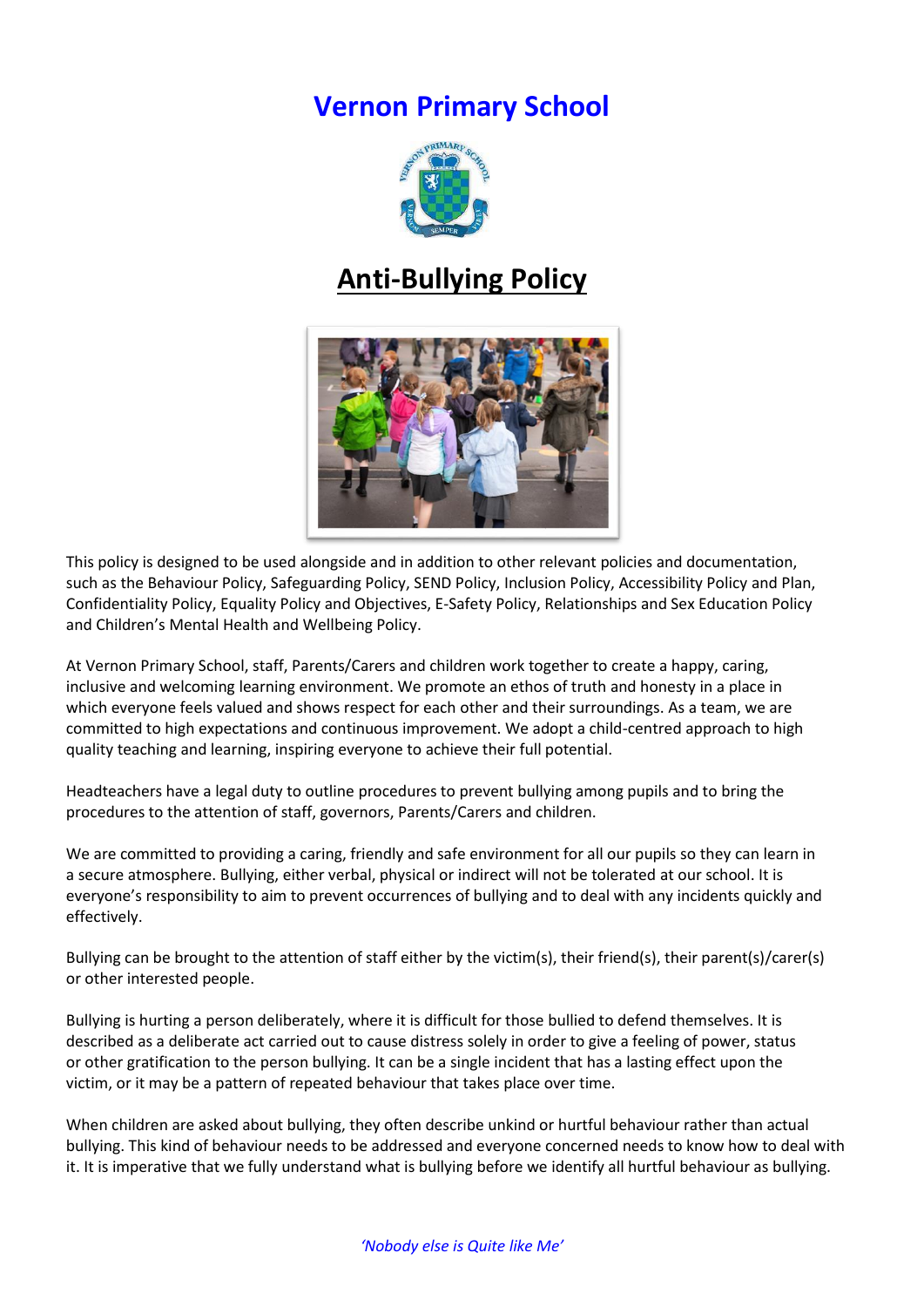# **Vernon Primary School**



# **Anti-Bullying Policy**



This policy is designed to be used alongside and in addition to other relevant policies and documentation, such as the Behaviour Policy, Safeguarding Policy, SEND Policy, Inclusion Policy, Accessibility Policy and Plan, Confidentiality Policy, Equality Policy and Objectives, E-Safety Policy, Relationships and Sex Education Policy and Children's Mental Health and Wellbeing Policy.

At Vernon Primary School, staff, Parents/Carers and children work together to create a happy, caring, inclusive and welcoming learning environment. We promote an ethos of truth and honesty in a place in which everyone feels valued and shows respect for each other and their surroundings. As a team, we are committed to high expectations and continuous improvement. We adopt a child-centred approach to high quality teaching and learning, inspiring everyone to achieve their full potential.

Headteachers have a legal duty to outline procedures to prevent bullying among pupils and to bring the procedures to the attention of staff, governors, Parents/Carers and children.

We are committed to providing a caring, friendly and safe environment for all our pupils so they can learn in a secure atmosphere. Bullying, either verbal, physical or indirect will not be tolerated at our school. It is everyone's responsibility to aim to prevent occurrences of bullying and to deal with any incidents quickly and effectively.

Bullying can be brought to the attention of staff either by the victim(s), their friend(s), their parent(s)/carer(s) or other interested people.

Bullying is hurting a person deliberately, where it is difficult for those bullied to defend themselves. It is described as a deliberate act carried out to cause distress solely in order to give a feeling of power, status or other gratification to the person bullying. It can be a single incident that has a lasting effect upon the victim, or it may be a pattern of repeated behaviour that takes place over time.

When children are asked about bullying, they often describe unkind or hurtful behaviour rather than actual bullying. This kind of behaviour needs to be addressed and everyone concerned needs to know how to deal with it. It is imperative that we fully understand what is bullying before we identify all hurtful behaviour as bullying.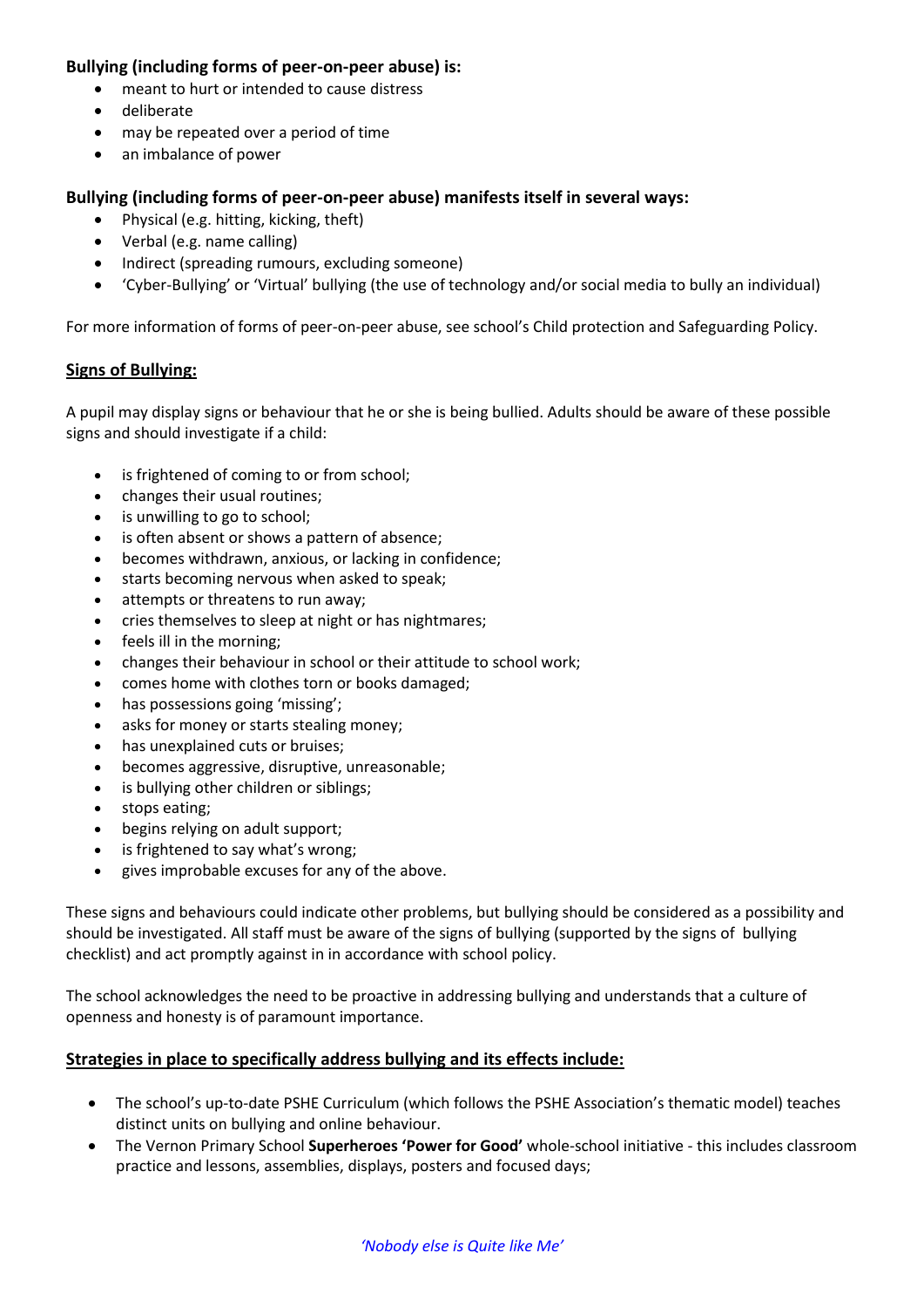## **Bullying (including forms of peer-on-peer abuse) is:**

- meant to hurt or intended to cause distress
- deliberate
- may be repeated over a period of time
- an imbalance of power

### **Bullying (including forms of peer-on-peer abuse) manifests itself in several ways:**

- Physical (e.g. hitting, kicking, theft)
- Verbal (e.g. name calling)
- Indirect (spreading rumours, excluding someone)
- 'Cyber-Bullying' or 'Virtual' bullying (the use of technology and/or social media to bully an individual)

For more information of forms of peer-on-peer abuse, see school's Child protection and Safeguarding Policy.

#### **Signs of Bullying:**

A pupil may display signs or behaviour that he or she is being bullied. Adults should be aware of these possible signs and should investigate if a child:

- is frightened of coming to or from school;
- changes their usual routines;
- is unwilling to go to school;
- is often absent or shows a pattern of absence;
- becomes withdrawn, anxious, or lacking in confidence;
- starts becoming nervous when asked to speak;
- attempts or threatens to run away;
- cries themselves to sleep at night or has nightmares;
- feels ill in the morning;
- changes their behaviour in school or their attitude to school work;
- comes home with clothes torn or books damaged;
- has possessions going 'missing';
- asks for money or starts stealing money;
- has unexplained cuts or bruises;
- becomes aggressive, disruptive, unreasonable;
- is bullying other children or siblings;
- stops eating;
- begins relying on adult support;
- is frightened to say what's wrong;
- gives improbable excuses for any of the above.

These signs and behaviours could indicate other problems, but bullying should be considered as a possibility and should be investigated. All staff must be aware of the signs of bullying (supported by the signs of bullying checklist) and act promptly against in in accordance with school policy.

The school acknowledges the need to be proactive in addressing bullying and understands that a culture of openness and honesty is of paramount importance.

#### **Strategies in place to specifically address bullying and its effects include:**

- The school's up-to-date PSHE Curriculum (which follows the PSHE Association's thematic model) teaches distinct units on bullying and online behaviour.
- The Vernon Primary School **Superheroes 'Power for Good'** whole-school initiative this includes classroom practice and lessons, assemblies, displays, posters and focused days;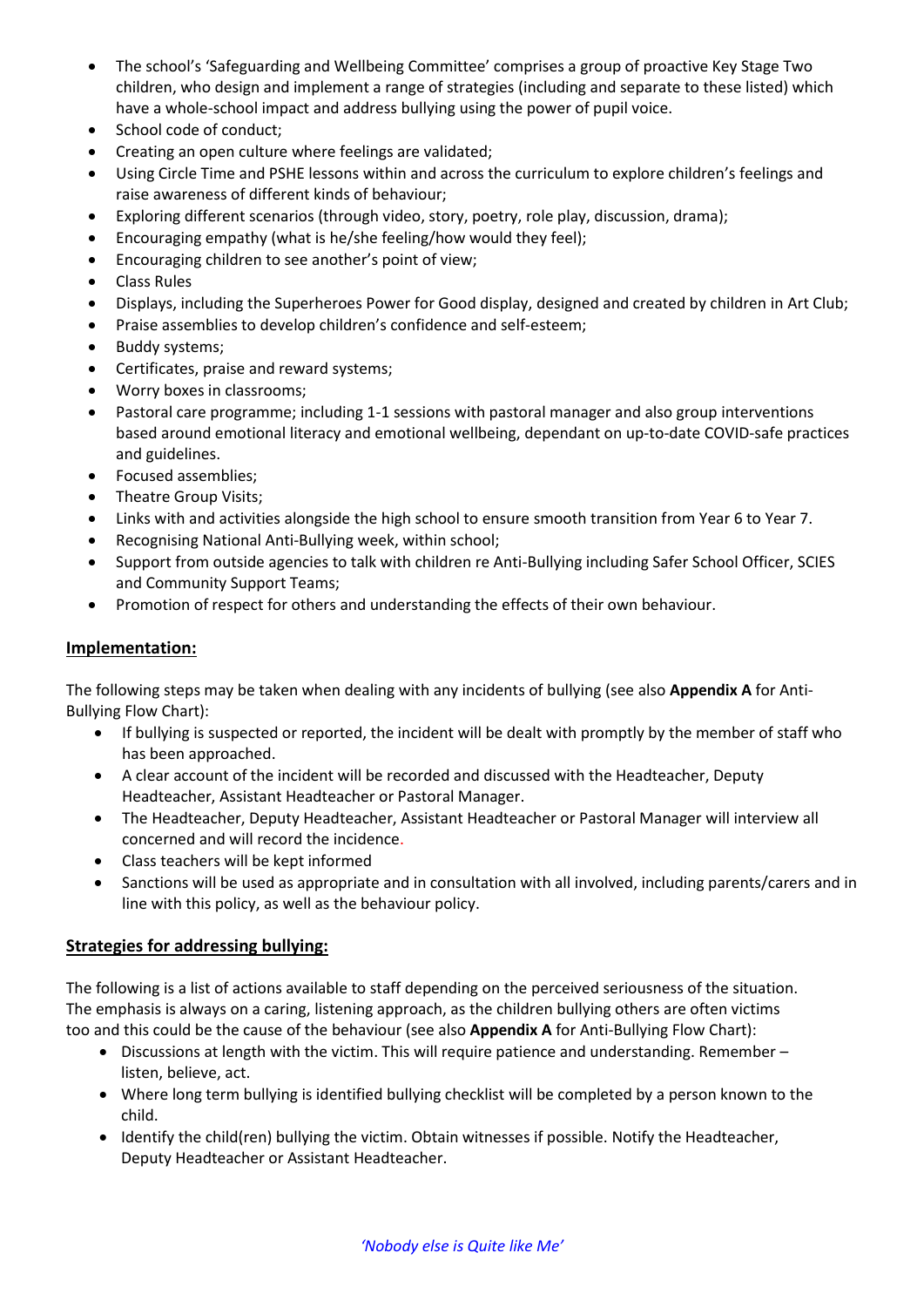- The school's 'Safeguarding and Wellbeing Committee' comprises a group of proactive Key Stage Two children, who design and implement a range of strategies (including and separate to these listed) which have a whole-school impact and address bullying using the power of pupil voice.
- School code of conduct;
- Creating an open culture where feelings are validated;
- Using Circle Time and PSHE lessons within and across the curriculum to explore children's feelings and raise awareness of different kinds of behaviour;
- Exploring different scenarios (through video, story, poetry, role play, discussion, drama);
- Encouraging empathy (what is he/she feeling/how would they feel);
- Encouraging children to see another's point of view;
- Class Rules
- Displays, including the Superheroes Power for Good display, designed and created by children in Art Club;
- Praise assemblies to develop children's confidence and self-esteem;
- Buddy systems;
- Certificates, praise and reward systems;
- Worry boxes in classrooms;
- Pastoral care programme; including 1-1 sessions with pastoral manager and also group interventions based around emotional literacy and emotional wellbeing, dependant on up-to-date COVID-safe practices and guidelines.
- Focused assemblies:
- Theatre Group Visits;
- Links with and activities alongside the high school to ensure smooth transition from Year 6 to Year 7.
- Recognising National Anti-Bullying week, within school;
- Support from outside agencies to talk with children re Anti-Bullying including Safer School Officer, SCIES and Community Support Teams;
- Promotion of respect for others and understanding the effects of their own behaviour.

#### **Implementation:**

The following steps may be taken when dealing with any incidents of bullying (see also **Appendix A** for Anti-Bullying Flow Chart):

- If bullying is suspected or reported, the incident will be dealt with promptly by the member of staff who has been approached.
- A clear account of the incident will be recorded and discussed with the Headteacher, Deputy Headteacher, Assistant Headteacher or Pastoral Manager.
- The Headteacher, Deputy Headteacher, Assistant Headteacher or Pastoral Manager will interview all concerned and will record the incidence.
- Class teachers will be kept informed
- Sanctions will be used as appropriate and in consultation with all involved, including parents/carers and in line with this policy, as well as the behaviour policy.

#### **Strategies for addressing bullying:**

The following is a list of actions available to staff depending on the perceived seriousness of the situation. The emphasis is always on a caring, listening approach, as the children bullying others are often victims too and this could be the cause of the behaviour (see also **Appendix A** for Anti-Bullying Flow Chart):

- Discussions at length with the victim. This will require patience and understanding. Remember listen, believe, act.
- Where long term bullying is identified bullying checklist will be completed by a person known to the child.
- Identify the child(ren) bullying the victim. Obtain witnesses if possible. Notify the Headteacher, Deputy Headteacher or Assistant Headteacher.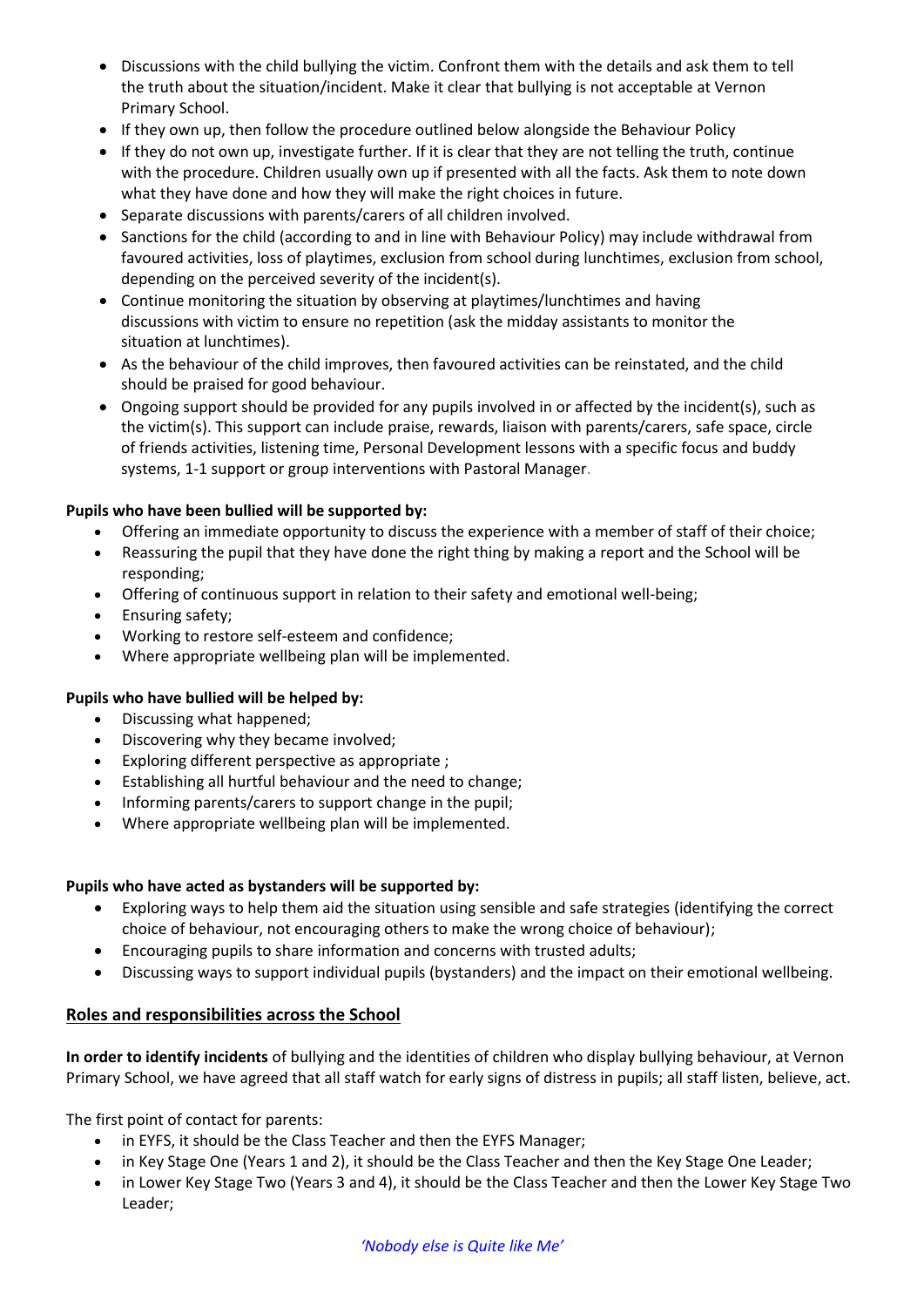- Discussions with the child bullying the victim. Confront them with the details and ask them to tell the truth about the situation/incident. Make it clear that bullying is not acceptable at Vernon Primary School.
- If they own up, then follow the procedure outlined below alongside the Behaviour Policy
- If they do not own up, investigate further. If it is clear that they are not telling the truth, continue with the procedure. Children usually own up if presented with all the facts. Ask them to note down what they have done and how they will make the right choices in future.
- Separate discussions with parents/carers of all children involved.
- Sanctions for the child (according to and in line with Behaviour Policy) may include withdrawal from favoured activities, loss of playtimes, exclusion from school during lunchtimes, exclusion from school, depending on the perceived severity of the incident(s).
- Continue monitoring the situation by observing at playtimes/lunchtimes and having discussions with victim to ensure no repetition (ask the midday assistants to monitor the situation at lunchtimes).
- As the behaviour of the child improves, then favoured activities can be reinstated, and the child should be praised for good behaviour.
- Ongoing support should be provided for any pupils involved in or affected by the incident(s), such as the victim(s). This support can include praise, rewards, liaison with parents/carers, safe space, circle of friends activities, listening time, Personal Development lessons with a specific focus and buddy systems, 1-1 support or group interventions with Pastoral Manager.

#### **Pupils who have been bullied will be supported by:**

- Offering an immediate opportunity to discuss the experience with a member of staff of their choice;
- Reassuring the pupil that they have done the right thing by making a report and the School will be responding;
- Offering of continuous support in relation to their safety and emotional well-being;
- Ensuring safety;
- Working to restore self-esteem and confidence;
- Where appropriate wellbeing plan will be implemented.

#### **Pupils who have bullied will be helped by:**

- Discussing what happened;
- Discovering why they became involved;
- Exploring different perspective as appropriate ;
- Establishing all hurtful behaviour and the need to change;
- Informing parents/carers to support change in the pupil;
- Where appropriate wellbeing plan will be implemented.

#### **Pupils who have acted as bystanders will be supported by:**

- Exploring ways to help them aid the situation using sensible and safe strategies (identifying the correct choice of behaviour, not encouraging others to make the wrong choice of behaviour);
- Encouraging pupils to share information and concerns with trusted adults;
- Discussing ways to support individual pupils (bystanders) and the impact on their emotional wellbeing.

#### **Roles and responsibilities across the School**

**In order to identify incidents** of bullying and the identities of children who display bullying behaviour, at Vernon Primary School, we have agreed that all staff watch for early signs of distress in pupils; all staff listen, believe, act.

The first point of contact for parents:

- in EYFS, it should be the Class Teacher and then the EYFS Manager;
- in Key Stage One (Years 1 and 2), it should be the Class Teacher and then the Key Stage One Leader;
- in Lower Key Stage Two (Years 3 and 4), it should be the Class Teacher and then the Lower Key Stage Two Leader;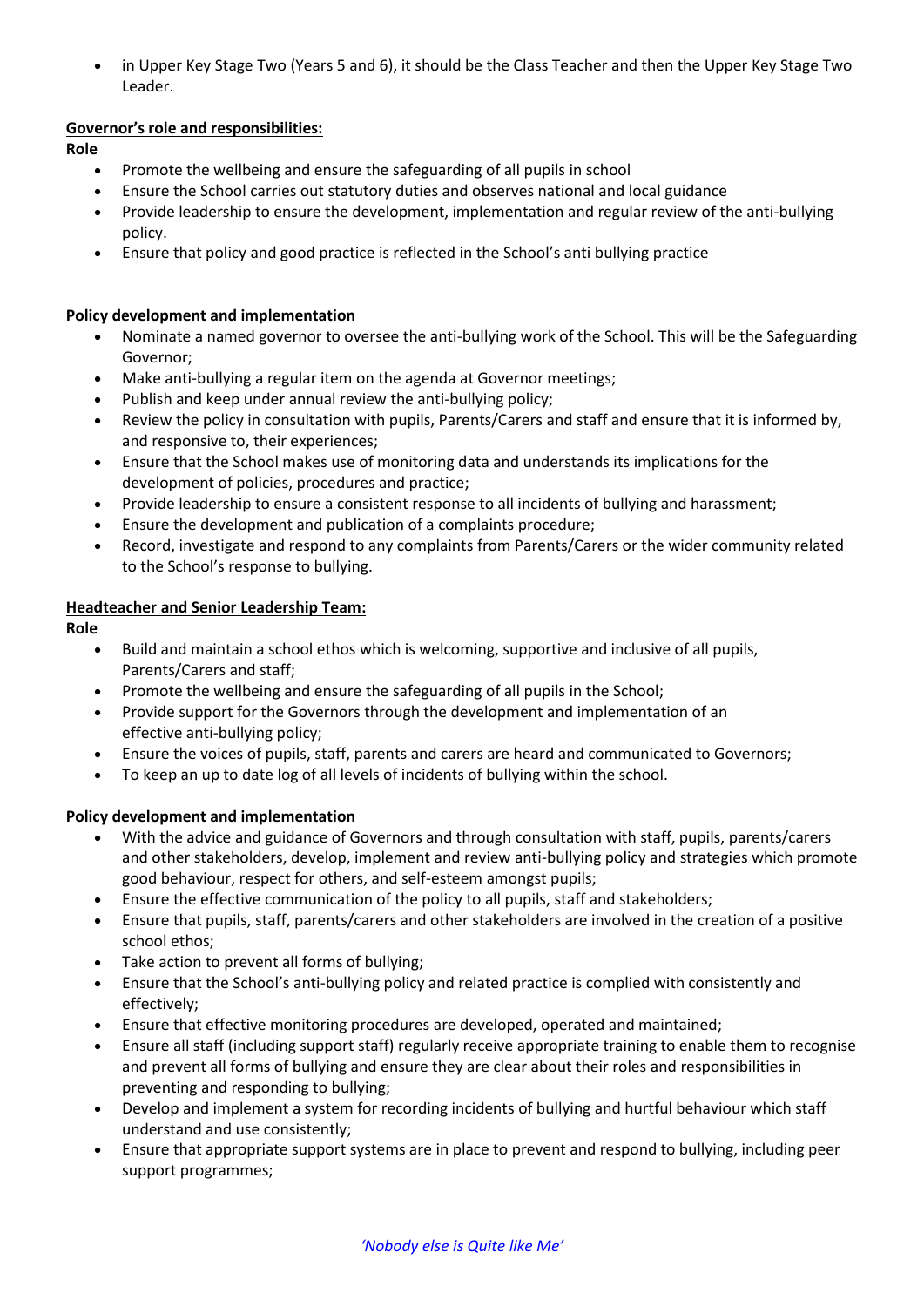in Upper Key Stage Two (Years 5 and 6), it should be the Class Teacher and then the Upper Key Stage Two Leader.

### **Governor's role and responsibilities:**

**Role** 

- Promote the wellbeing and ensure the safeguarding of all pupils in school
- Ensure the School carries out statutory duties and observes national and local guidance
- Provide leadership to ensure the development, implementation and regular review of the anti-bullying policy.
- Ensure that policy and good practice is reflected in the School's anti bullying practice

#### **Policy development and implementation**

- Nominate a named governor to oversee the anti-bullying work of the School. This will be the Safeguarding Governor;
- Make anti-bullying a regular item on the agenda at Governor meetings;
- Publish and keep under annual review the anti-bullying policy;
- Review the policy in consultation with pupils, Parents/Carers and staff and ensure that it is informed by, and responsive to, their experiences;
- Ensure that the School makes use of monitoring data and understands its implications for the development of policies, procedures and practice;
- Provide leadership to ensure a consistent response to all incidents of bullying and harassment;
- Ensure the development and publication of a complaints procedure;
- Record, investigate and respond to any complaints from Parents/Carers or the wider community related to the School's response to bullying.

#### **Headteacher and Senior Leadership Team:**

#### **Role**

- Build and maintain a school ethos which is welcoming, supportive and inclusive of all pupils, Parents/Carers and staff;
- Promote the wellbeing and ensure the safeguarding of all pupils in the School;
- Provide support for the Governors through the development and implementation of an effective anti-bullying policy;
- Ensure the voices of pupils, staff, parents and carers are heard and communicated to Governors;
- To keep an up to date log of all levels of incidents of bullying within the school.

#### **Policy development and implementation**

- With the advice and guidance of Governors and through consultation with staff, pupils, parents/carers and other stakeholders, develop, implement and review anti-bullying policy and strategies which promote good behaviour, respect for others, and self-esteem amongst pupils;
- Ensure the effective communication of the policy to all pupils, staff and stakeholders;
- Ensure that pupils, staff, parents/carers and other stakeholders are involved in the creation of a positive school ethos;
- Take action to prevent all forms of bullying;
- Ensure that the School's anti-bullying policy and related practice is complied with consistently and effectively;
- Ensure that effective monitoring procedures are developed, operated and maintained;
- Ensure all staff (including support staff) regularly receive appropriate training to enable them to recognise and prevent all forms of bullying and ensure they are clear about their roles and responsibilities in preventing and responding to bullying;
- Develop and implement a system for recording incidents of bullying and hurtful behaviour which staff understand and use consistently;
- Ensure that appropriate support systems are in place to prevent and respond to bullying, including peer support programmes;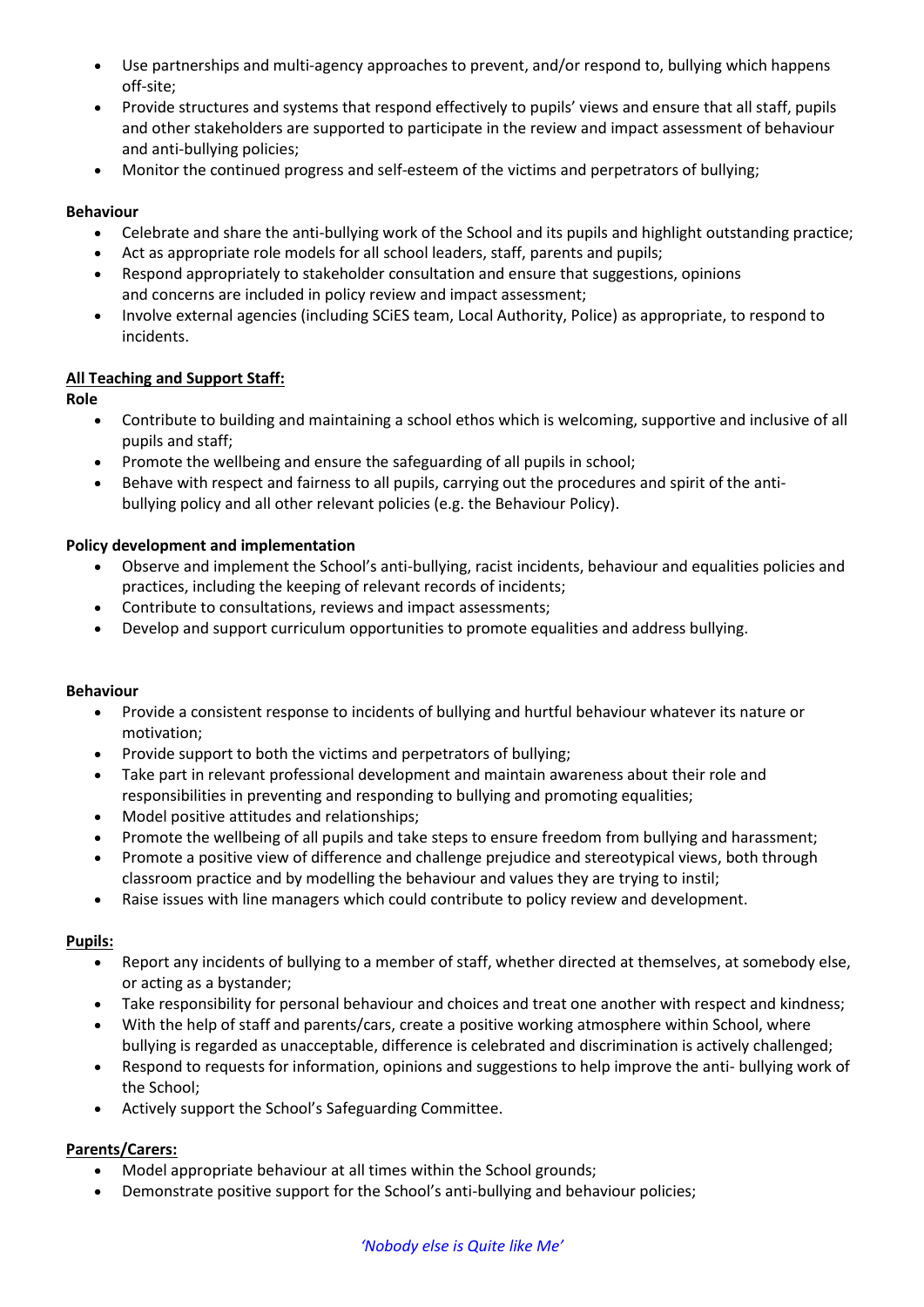- Use partnerships and multi-agency approaches to prevent, and/or respond to, bullying which happens off-site;
- Provide structures and systems that respond effectively to pupils' views and ensure that all staff, pupils and other stakeholders are supported to participate in the review and impact assessment of behaviour and anti-bullying policies;
- Monitor the continued progress and self-esteem of the victims and perpetrators of bullying;

### **Behaviour**

- Celebrate and share the anti-bullying work of the School and its pupils and highlight outstanding practice;
- Act as appropriate role models for all school leaders, staff, parents and pupils;
- Respond appropriately to stakeholder consultation and ensure that suggestions, opinions and concerns are included in policy review and impact assessment;
- Involve external agencies (including SCiES team, Local Authority, Police) as appropriate, to respond to incidents.

#### **All Teaching and Support Staff:**

**Role** 

- Contribute to building and maintaining a school ethos which is welcoming, supportive and inclusive of all pupils and staff;
- Promote the wellbeing and ensure the safeguarding of all pupils in school;
- Behave with respect and fairness to all pupils, carrying out the procedures and spirit of the antibullying policy and all other relevant policies (e.g. the Behaviour Policy).

### **Policy development and implementation**

- Observe and implement the School's anti-bullying, racist incidents, behaviour and equalities policies and practices, including the keeping of relevant records of incidents;
- Contribute to consultations, reviews and impact assessments;
- Develop and support curriculum opportunities to promote equalities and address bullying.

#### **Behaviour**

- Provide a consistent response to incidents of bullying and hurtful behaviour whatever its nature or motivation;
- Provide support to both the victims and perpetrators of bullying;
- Take part in relevant professional development and maintain awareness about their role and responsibilities in preventing and responding to bullying and promoting equalities;
- Model positive attitudes and relationships;
- Promote the wellbeing of all pupils and take steps to ensure freedom from bullying and harassment;
- Promote a positive view of difference and challenge prejudice and stereotypical views, both through classroom practice and by modelling the behaviour and values they are trying to instil;
- Raise issues with line managers which could contribute to policy review and development.

#### **Pupils:**

- Report any incidents of bullying to a member of staff, whether directed at themselves, at somebody else, or acting as a bystander;
- Take responsibility for personal behaviour and choices and treat one another with respect and kindness;
- With the help of staff and parents/cars, create a positive working atmosphere within School, where bullying is regarded as unacceptable, difference is celebrated and discrimination is actively challenged;
- Respond to requests for information, opinions and suggestions to help improve the anti- bullying work of the School;
- Actively support the School's Safeguarding Committee.

## **Parents/Carers:**

- Model appropriate behaviour at all times within the School grounds;
- Demonstrate positive support for the School's anti-bullying and behaviour policies;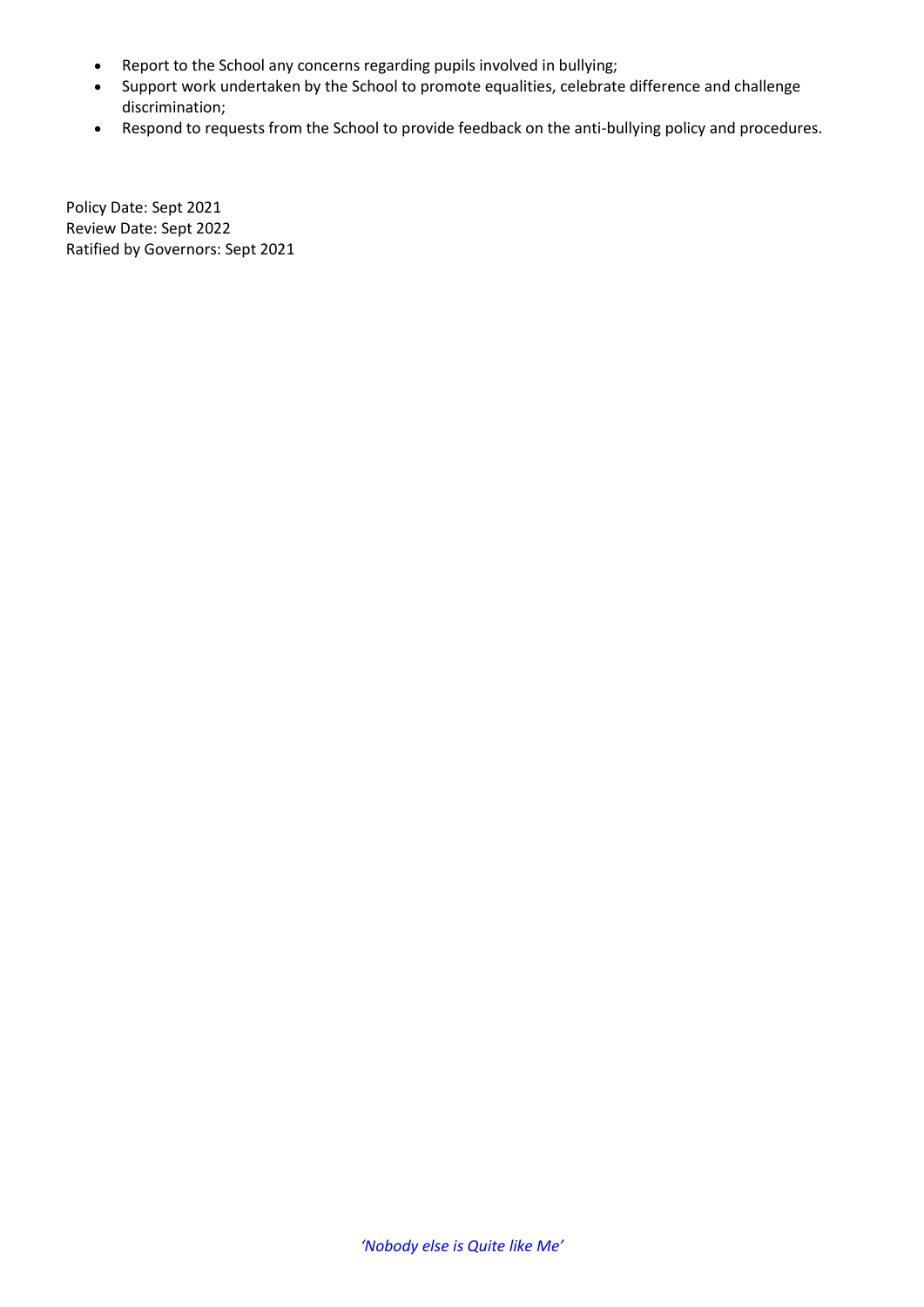- Report to the School any concerns regarding pupils involved in bullying;
- Support work undertaken by the School to promote equalities, celebrate difference and challenge discrimination;
- Respond to requests from the School to provide feedback on the anti-bullying policy and procedures.

Policy Date: Sept 2021 Review Date: Sept 2022 Ratified by Governors: Sept 2021